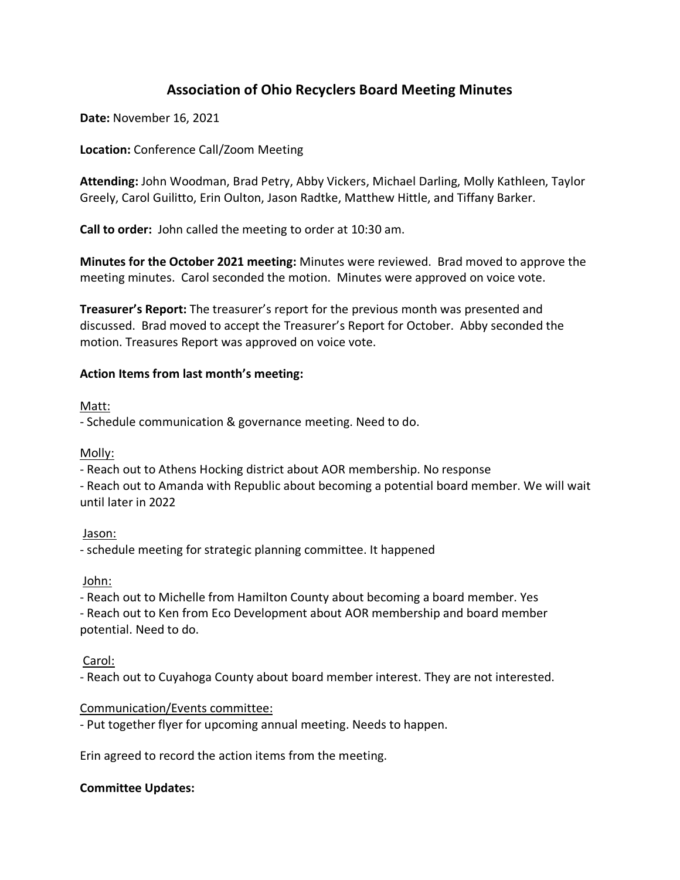# **Association of Ohio Recyclers Board Meeting Minutes**

**Date:** November 16, 2021

**Location:** Conference Call/Zoom Meeting

**Attending:** John Woodman, Brad Petry, Abby Vickers, Michael Darling, Molly Kathleen, Taylor Greely, Carol Guilitto, Erin Oulton, Jason Radtke, Matthew Hittle, and Tiffany Barker.

**Call to order:** John called the meeting to order at 10:30 am.

**Minutes for the October 2021 meeting:** Minutes were reviewed. Brad moved to approve the meeting minutes. Carol seconded the motion. Minutes were approved on voice vote.

**Treasurer's Report:** The treasurer's report for the previous month was presented and discussed. Brad moved to accept the Treasurer's Report for October. Abby seconded the motion. Treasures Report was approved on voice vote.

## **Action Items from last month's meeting:**

#### Matt:

- Schedule communication & governance meeting. Need to do.

Molly:

- Reach out to Athens Hocking district about AOR membership. No response

- Reach out to Amanda with Republic about becoming a potential board member. We will wait until later in 2022

## Jason:

- schedule meeting for strategic planning committee. It happened

John:

- Reach out to Michelle from Hamilton County about becoming a board member. Yes - Reach out to Ken from Eco Development about AOR membership and board member

potential. Need to do.

## Carol:

- Reach out to Cuyahoga County about board member interest. They are not interested.

## Communication/Events committee:

- Put together flyer for upcoming annual meeting. Needs to happen.

Erin agreed to record the action items from the meeting.

## **Committee Updates:**